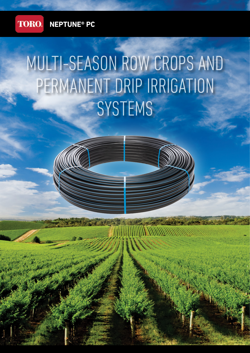

# MULTI-SEASON ROW CROPS AND PERMANENT DRIP IRRIGATION **SYSTEMS**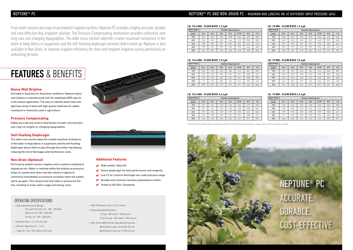### NEPTUNE® PC

From multi-season row crops to permanent irrigation systems, Neptune PC provides a highly accurate, durable and cost-effective drip irrigation solution. The Pressure Compensating mechanism provides uniformity over long runs and changing topographies. The wide cross-section labyrinth creates maximum turbulence in the water to keep debris in suspension and the self-flushing diaphragm prevents debris build-up. Neptune is also available in Non-Drain, to improve irrigation efficiency for short and frequent irrigation cycles particularly on undulating terrains.

## FEATURES & BENEFITS

#### **Heavy Wall Dripline**

Extruded in Australia for Australian conditions, Neptune heavy wall dripline is manufactured with UV stabilised LDPE tube for multi-season application. The easy-to-identify black tube with light blue stripe is built with high quality materials for added resistance to chemicals used in agriculture.

#### **Pressure Compensating**

Highly accurate and uniform distribution of water and nutrients over long run lengths or changing topographies.

#### **Self-flushing Diaphragm**

- $\blacktriangleright$  Wide emitter labyrinth
- Silicon diaphragm for best performance and longevity
- Low CV for uniform discharge over wide pressure range
- $\blacktriangleright$  Durable and chemical resistant polyethylene emitter
- ◆ Tested to ISO 9261 Standards
- Wall Thickness: 0.63, 0.9 & 1.0 mm
- Recommended Filtration: 1.2 Lph: 150 mesh / 100 micron 1.5 & 2.4 Lph: 120 mesh / 130 micron
- Non-Drain (ND) Emitter Operating Pressure: ND Emitters open at 50 kPa (5.0 m) ND Emitters close at 17 kPa (2.0 m)

The wide cross-section labyrinth creates maximum turbulence in the water to keep debris in suspension and the self-flushing diaphragm allows them to pass through the emitter harmlessly, reducing the risk of blockages and maintenance costs.

#### **Non-Drain (Optional)**

Particularly suited to pulse irrigation and in systems installed on sloping terrain. Water is retained within the dripline as pressure drops on system shut down and then allows irrigation to commence immediately as pressure increases when the system starts up again. This reduces the time taken to pressurise the line, resulting in lower water usage and energy costs.

### OPERATING SPECIFICATIONS

- Operating Pressure Range: 15.4 and 19.0 mm I.D.: 100 - 350 kPa 20.8 mm I.D.: 100 - 325 kPa  $25$  mm  $1$  D $\cdot$  100 - 300 kPa
- Emitter Flow: 1.2, 1.5 & 2.4 Lph
- Emitter Spacing: 0.3 1.0 m
- Tube I.D.: 15.4, 19.0, 20.8 & 25.0 mm





#### **I.D. 15.4 MM - FLOW RATE 1.2 Lph**

| Operating                | Emitter Spacing (m) |     |     |     |      |     |     |  |  |  |
|--------------------------|---------------------|-----|-----|-----|------|-----|-----|--|--|--|
| <b>Pressure</b><br>(kPa) | 0.3                 | 0.4 | 0.5 | 0.6 | 0.75 | 0.9 | 1.0 |  |  |  |
| 150                      | 123                 | 154 | 182 | 208 | 246  | 279 | 302 |  |  |  |
| 200                      | 156                 | 196 | 232 | 266 | 313  | 356 | 383 |  |  |  |
| 250                      | 180                 | 225 | 267 | 306 | 360  | 410 | 442 |  |  |  |
| 300                      | 198                 | 249 | 295 | 338 | 398  | 454 | 489 |  |  |  |
| 350                      | 214                 | 269 | 318 | 365 | 429  | 490 | 528 |  |  |  |

## NEPTUNE® PC AND NON-DRAIN PC - MAXIMUM RUN LENGTHS (M) AT DIFFERENT INPUT PRESSURE (kPa)

The Performance Data above is based on minimum 100 kPa operating pressure, single lateral and no elevation change.



#### **I.D. 15.4 MM - FLOW RATE 1.5 Lph**

| <b>Operating</b>         | Emitter Spacing (m) |     |     |     |      |     |     |  |  |  |
|--------------------------|---------------------|-----|-----|-----|------|-----|-----|--|--|--|
| <b>Pressure</b><br>(kPa) | 0.3                 | 0.4 | 0.5 | 0.6 | 0.75 | 0.9 | 1.0 |  |  |  |
| 150                      | 106                 | 133 | 158 | 180 | 212  | 241 | 260 |  |  |  |
| 200                      | 135                 | 169 | 200 | 229 | 270  | 308 | 331 |  |  |  |
| 250                      | 155                 | 194 | 230 | 264 | 311  | 355 | 382 |  |  |  |
| 300                      | 171                 | 215 | 255 | 292 | 344  | 392 | 422 |  |  |  |
| 350                      | 185                 | 232 | 275 | 315 | 371  | 424 | 456 |  |  |  |

#### **I.D. 15.4 MM - FLOW RATE 2.4 Lph**

#### **I.D. 19 MM - FLOW RATE 1.2 Lph**

| Operating                | Emitter Spacing (m) |     |     |     |      |     |     |  |  |  |
|--------------------------|---------------------|-----|-----|-----|------|-----|-----|--|--|--|
| <b>Pressure</b><br>(kPa) | 0.3                 | 0.4 | 0.5 | 0.6 | 0.75 | 0.9 | 1.0 |  |  |  |
| 150                      | 188                 | 233 | 274 | 312 | 365  | 414 | 446 |  |  |  |
| 200                      | 239                 | 296 | 349 | 397 | 465  | 527 | 568 |  |  |  |
| 250                      | 275                 | 341 | 401 | 457 | 535  | 607 | 653 |  |  |  |
| 300                      | 304                 | 377 | 443 | 505 | 592  | 672 | 723 |  |  |  |
| 350                      | 328                 | 407 | 479 | 546 | 640  | 727 | 781 |  |  |  |

#### **I.D. 19 MM - FLOW RATE 1.5 Lph**

| Operating         |     | <b>Emitter Spacing (m)</b> |     |     |      |     |     | Operating                | <b>Emitter Spacing (m)</b> |     |     |     |      |     |     |
|-------------------|-----|----------------------------|-----|-----|------|-----|-----|--------------------------|----------------------------|-----|-----|-----|------|-----|-----|
| Pressure<br>(kPa) | 0.3 | 0.4                        | 0.5 | 0.6 | 0.75 | 0.9 | 1.0 | <b>Pressure</b><br>(kPa) | 0.3                        | 0.4 | 0.5 | 0.6 | 0.75 | 0.9 | 1.0 |
| 150               | 78  | 98                         | 116 | 132 | 156  | 177 | 192 | 150                      | 118                        | 147 | 172 | 196 | 230  | 261 | 280 |
| 200               | 99  | 124                        | 147 | 168 | 198  | 226 | 244 | 200                      | 150                        | 186 | 219 | 249 | 292  | 332 | 357 |
| 250               | 114 | 143                        | 169 | 194 | 229  | 261 | 281 | 250                      | 173                        | 214 | 252 | 288 | 337  | 382 | 411 |
| 300               | 126 | 158                        | 187 | 214 | 252  | 288 | 311 | 300                      | 191                        | 237 | 279 | 318 | 373  | 423 | 455 |
| 350               | 136 | 170                        | 202 | 232 | 273  | 311 | 336 | 350                      | 206                        | 256 | 301 | 343 | 402  | 457 | 491 |

| Operating                | Emitter Spacing (m) |     |     |     |      |     |     |  |  |  |
|--------------------------|---------------------|-----|-----|-----|------|-----|-----|--|--|--|
| <b>Pressure</b><br>(kPa) | 0.3                 | 0.4 | 0.5 | 0.6 | 0.75 | 0.9 | 1.0 |  |  |  |
| 150                      | 161                 | 199 | 234 | 267 | 312  | 354 | 381 |  |  |  |
| 200                      | 204                 | 253 | 298 | 340 | 398  | 451 | 485 |  |  |  |
| 250                      | 235                 | 292 | 343 | 391 | 458  | 520 | 559 |  |  |  |
| 300                      | 260                 | 322 | 379 | 432 | 506  | 574 | 618 |  |  |  |
| 350                      | 281                 | 348 | 410 | 467 | 547  | 621 | 668 |  |  |  |

#### **I.D. 19 MM - FLOW RATE 2.4 Lph**

## NEPTUNE® PC ACCURATE. DURABLE. COST-EFFECTIVE.

#### **Additional Features**